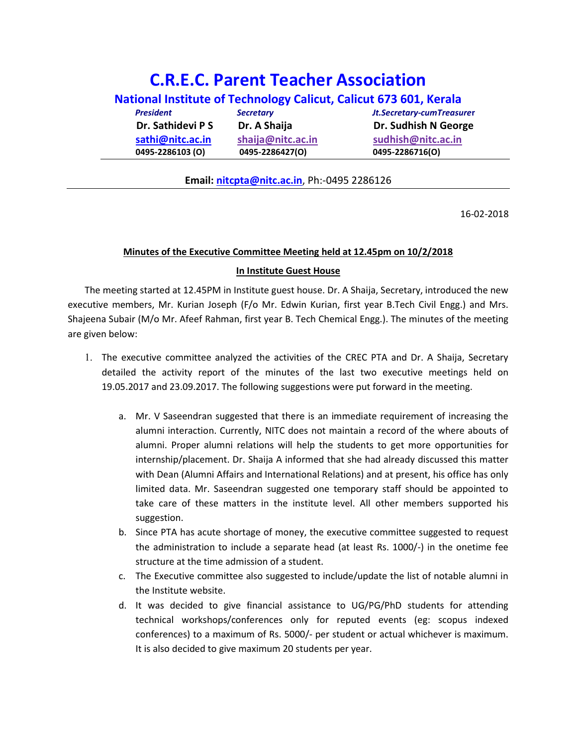# C.R.E.C. Parent Teacher Association

| National Institute of Technology Calicut, Calicut 673 601, Kerala |                   |                                  |
|-------------------------------------------------------------------|-------------------|----------------------------------|
| <b>President</b>                                                  | <b>Secretary</b>  | <b>Jt.Secretary-cumTreasurer</b> |
| Dr. Sathidevi P S                                                 | Dr. A Shaija      | Dr. Sudhish N George             |
| sathi@nitc.ac.in                                                  | shaija@nitc.ac.in | sudhish@nitc.ac.in               |
| 0495-2286103 (O)                                                  | 0495-2286427(O)   | 0495-2286716(O)                  |

### Email: nitcpta@nitc.ac.in, Ph:-0495 2286126

16-02-2018

## Minutes of the Executive Committee Meeting held at 12.45pm on 10/2/2018

#### In Institute Guest House

The meeting started at 12.45PM in Institute guest house. Dr. A Shaija, Secretary, introduced the new executive members, Mr. Kurian Joseph (F/o Mr. Edwin Kurian, first year B.Tech Civil Engg.) and Mrs. Shajeena Subair (M/o Mr. Afeef Rahman, first year B. Tech Chemical Engg.). The minutes of the meeting are given below:

- 1. The executive committee analyzed the activities of the CREC PTA and Dr. A Shaija, Secretary detailed the activity report of the minutes of the last two executive meetings held on 19.05.2017 and 23.09.2017. The following suggestions were put forward in the meeting.
	- a. Mr. V Saseendran suggested that there is an immediate requirement of increasing the alumni interaction. Currently, NITC does not maintain a record of the where abouts of alumni. Proper alumni relations will help the students to get more opportunities for internship/placement. Dr. Shaija A informed that she had already discussed this matter with Dean (Alumni Affairs and International Relations) and at present, his office has only limited data. Mr. Saseendran suggested one temporary staff should be appointed to take care of these matters in the institute level. All other members supported his suggestion.
	- b. Since PTA has acute shortage of money, the executive committee suggested to request the administration to include a separate head (at least Rs. 1000/-) in the onetime fee structure at the time admission of a student.
	- c. The Executive committee also suggested to include/update the list of notable alumni in the Institute website.
	- d. It was decided to give financial assistance to UG/PG/PhD students for attending technical workshops/conferences only for reputed events (eg: scopus indexed conferences) to a maximum of Rs. 5000/- per student or actual whichever is maximum. It is also decided to give maximum 20 students per year.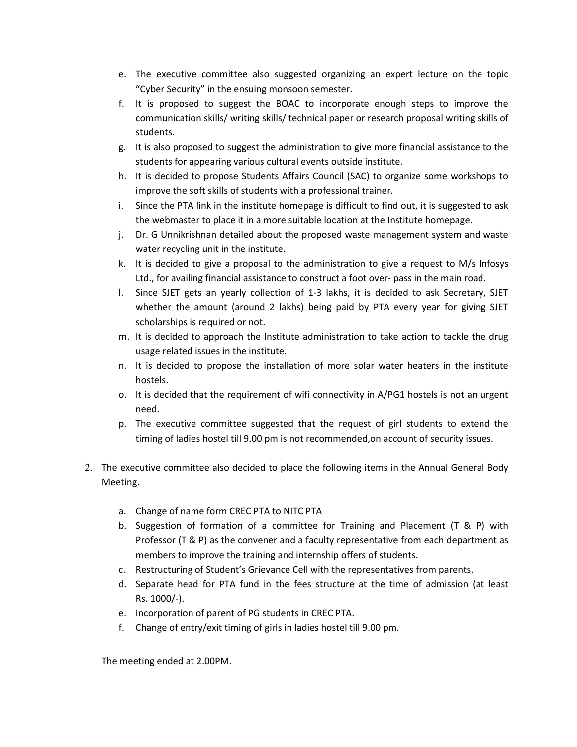- e. The executive committee also suggested organizing an expert lecture on the topic "Cyber Security" in the ensuing monsoon semester.
- f. It is proposed to suggest the BOAC to incorporate enough steps to improve the communication skills/ writing skills/ technical paper or research proposal writing skills of students.
- g. It is also proposed to suggest the administration to give more financial assistance to the students for appearing various cultural events outside institute.
- h. It is decided to propose Students Affairs Council (SAC) to organize some workshops to improve the soft skills of students with a professional trainer.
- i. Since the PTA link in the institute homepage is difficult to find out, it is suggested to ask the webmaster to place it in a more suitable location at the Institute homepage.
- j. Dr. G Unnikrishnan detailed about the proposed waste management system and waste water recycling unit in the institute.
- k. It is decided to give a proposal to the administration to give a request to  $M/s$  Infosys Ltd., for availing financial assistance to construct a foot over- pass in the main road.
- l. Since SJET gets an yearly collection of 1-3 lakhs, it is decided to ask Secretary, SJET whether the amount (around 2 lakhs) being paid by PTA every year for giving SJET scholarships is required or not.
- m. It is decided to approach the Institute administration to take action to tackle the drug usage related issues in the institute.
- n. It is decided to propose the installation of more solar water heaters in the institute hostels.
- o. It is decided that the requirement of wifi connectivity in A/PG1 hostels is not an urgent need.
- p. The executive committee suggested that the request of girl students to extend the timing of ladies hostel till 9.00 pm is not recommended,on account of security issues.
- 2. The executive committee also decided to place the following items in the Annual General Body Meeting.
	- a. Change of name form CREC PTA to NITC PTA
	- b. Suggestion of formation of a committee for Training and Placement (T & P) with Professor (T & P) as the convener and a faculty representative from each department as members to improve the training and internship offers of students.
	- c. Restructuring of Student's Grievance Cell with the representatives from parents.
	- d. Separate head for PTA fund in the fees structure at the time of admission (at least Rs. 1000/-).
	- e. Incorporation of parent of PG students in CREC PTA.
	- f. Change of entry/exit timing of girls in ladies hostel till 9.00 pm.

The meeting ended at 2.00PM.